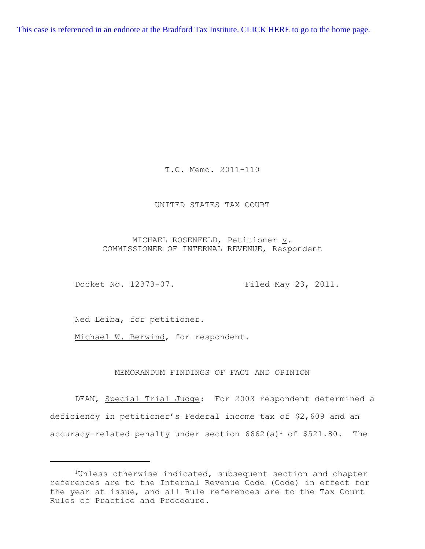[This case is referenced in an endnote at the Bradford Tax Institute. CLICK HERE to go to the home page.](http://bradfordtaxinstitute.com/index1.aspx)

T.C. Memo. 2011-110

### UNITED STATES TAX COURT

MICHAEL ROSENFELD, Petitioner  $\underline{v}$ . COMMISSIONER OF INTERNAL REVENUE, Respondent

Docket No. 12373-07. Filed May 23, 2011.

Ned Leiba, for petitioner.

Michael W. Berwind, for respondent.

# MEMORANDUM FINDINGS OF FACT AND OPINION

DEAN, Special Trial Judge: For 2003 respondent determined a deficiency in petitioner's Federal income tax of \$2,609 and an accuracy-related penalty under section  $6662(a)^1$  of \$521.80. The

<sup>&</sup>lt;sup>1</sup>Unless otherwise indicated, subsequent section and chapter references are to the Internal Revenue Code (Code) in effect for the year at issue, and all Rule references are to the Tax Court Rules of Practice and Procedure.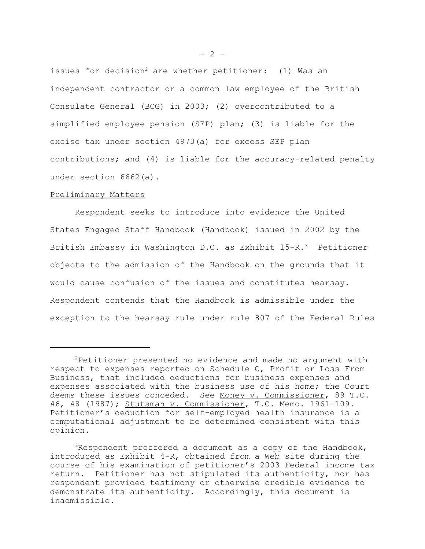issues for decision<sup>2</sup> are whether petitioner: (1) Was an independent contractor or a common law employee of the British Consulate General (BCG) in 2003; (2) overcontributed to a simplified employee pension (SEP) plan; (3) is liable for the excise tax under section 4973(a) for excess SEP plan contributions; and (4) is liable for the accuracy-related penalty under section 6662(a).

#### Preliminary Matters

Respondent seeks to introduce into evidence the United States Engaged Staff Handbook (Handbook) issued in 2002 by the British Embassy in Washington D.C. as Exhibit 15-R.<sup>3</sup> Petitioner objects to the admission of the Handbook on the grounds that it would cause confusion of the issues and constitutes hearsay. Respondent contends that the Handbook is admissible under the exception to the hearsay rule under rule 807 of the Federal Rules

<sup>2</sup>Petitioner presented no evidence and made no argument with respect to expenses reported on Schedule C, Profit or Loss From Business, that included deductions for business expenses and expenses associated with the business use of his home; the Court deems these issues conceded. See Money v. Commissioner, 89 T.C. 46, 48 (1987); Stutsman v. Commissioner, T.C. Memo. 1961-109. Petitioner's deduction for self-employed health insurance is a computational adjustment to be determined consistent with this opinion.

<sup>3</sup>Respondent proffered a document as a copy of the Handbook, introduced as Exhibit 4-R, obtained from a Web site during the course of his examination of petitioner's 2003 Federal income tax return. Petitioner has not stipulated its authenticity, nor has respondent provided testimony or otherwise credible evidence to demonstrate its authenticity. Accordingly, this document is inadmissible.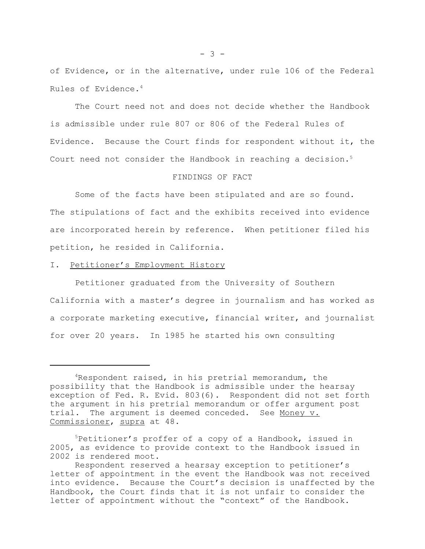of Evidence, or in the alternative, under rule 106 of the Federal Rules of Evidence.4

The Court need not and does not decide whether the Handbook is admissible under rule 807 or 806 of the Federal Rules of Evidence. Because the Court finds for respondent without it, the Court need not consider the Handbook in reaching a decision.<sup>5</sup>

# FINDINGS OF FACT

Some of the facts have been stipulated and are so found. The stipulations of fact and the exhibits received into evidence are incorporated herein by reference. When petitioner filed his petition, he resided in California.

I. Petitioner's Employment History

Petitioner graduated from the University of Southern California with a master's degree in journalism and has worked as a corporate marketing executive, financial writer, and journalist for over 20 years. In 1985 he started his own consulting

<sup>&</sup>lt;sup>4</sup>Respondent raised, in his pretrial memorandum, the possibility that the Handbook is admissible under the hearsay exception of Fed. R. Evid. 803(6). Respondent did not set forth the argument in his pretrial memorandum or offer argument post trial. The argument is deemed conceded. See Money v. Commissioner, supra at 48.

<sup>&</sup>lt;sup>5</sup>Petitioner's proffer of a copy of a Handbook, issued in 2005, as evidence to provide context to the Handbook issued in 2002 is rendered moot.

Respondent reserved a hearsay exception to petitioner's letter of appointment in the event the Handbook was not received into evidence. Because the Court's decision is unaffected by the Handbook, the Court finds that it is not unfair to consider the letter of appointment without the "context" of the Handbook.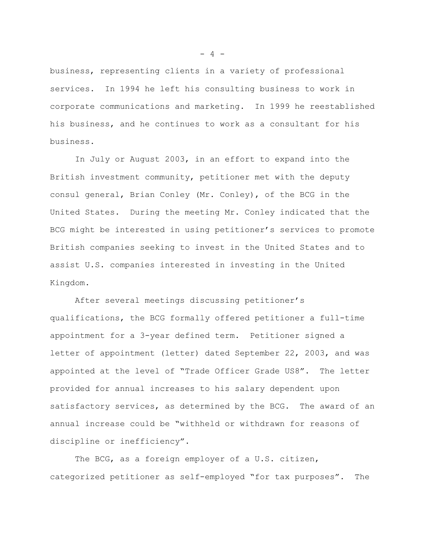business, representing clients in a variety of professional services. In 1994 he left his consulting business to work in corporate communications and marketing. In 1999 he reestablished his business, and he continues to work as a consultant for his business.

In July or August 2003, in an effort to expand into the British investment community, petitioner met with the deputy consul general, Brian Conley (Mr. Conley), of the BCG in the United States. During the meeting Mr. Conley indicated that the BCG might be interested in using petitioner's services to promote British companies seeking to invest in the United States and to assist U.S. companies interested in investing in the United Kingdom.

After several meetings discussing petitioner's qualifications, the BCG formally offered petitioner a full-time appointment for a 3-year defined term. Petitioner signed a letter of appointment (letter) dated September 22, 2003, and was appointed at the level of "Trade Officer Grade US8". The letter provided for annual increases to his salary dependent upon satisfactory services, as determined by the BCG. The award of an annual increase could be "withheld or withdrawn for reasons of discipline or inefficiency".

The BCG, as a foreign employer of a U.S. citizen, categorized petitioner as self-employed "for tax purposes". The

 $- 4 -$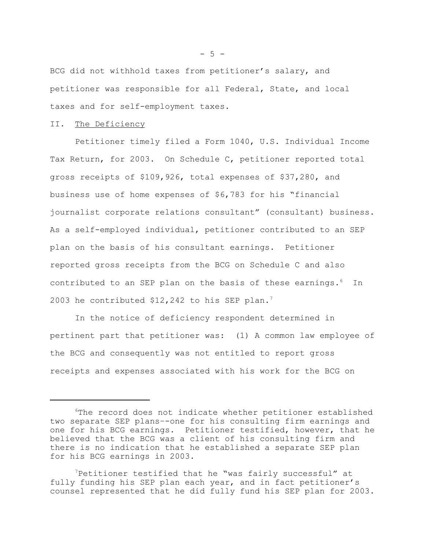BCG did not withhold taxes from petitioner's salary, and petitioner was responsible for all Federal, State, and local taxes and for self-employment taxes.

## II. The Deficiency

Petitioner timely filed a Form 1040, U.S. Individual Income Tax Return, for 2003. On Schedule C, petitioner reported total gross receipts of \$109,926, total expenses of \$37,280, and business use of home expenses of \$6,783 for his "financial journalist corporate relations consultant" (consultant) business. As a self-employed individual, petitioner contributed to an SEP plan on the basis of his consultant earnings. Petitioner reported gross receipts from the BCG on Schedule C and also contributed to an SEP plan on the basis of these earnings.<sup>6</sup> In 2003 he contributed \$12,242 to his SEP plan.<sup>7</sup>

In the notice of deficiency respondent determined in pertinent part that petitioner was: (1) A common law employee of the BCG and consequently was not entitled to report gross receipts and expenses associated with his work for the BCG on

 $-5 -$ 

<sup>6</sup>The record does not indicate whether petitioner established two separate SEP plans–-one for his consulting firm earnings and one for his BCG earnings. Petitioner testified, however, that he believed that the BCG was a client of his consulting firm and there is no indication that he established a separate SEP plan for his BCG earnings in 2003.

<sup>7</sup>Petitioner testified that he "was fairly successful" at fully funding his SEP plan each year, and in fact petitioner's counsel represented that he did fully fund his SEP plan for 2003.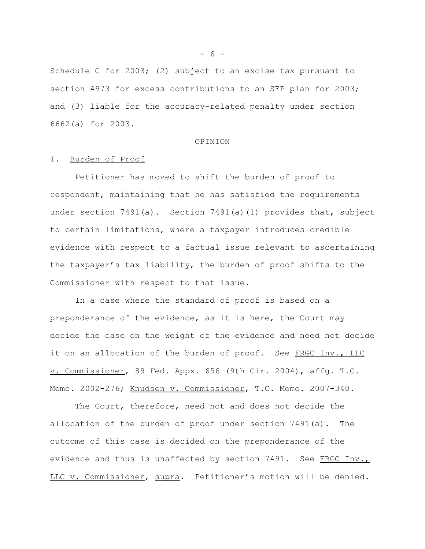Schedule C for 2003; (2) subject to an excise tax pursuant to section 4973 for excess contributions to an SEP plan for 2003; and (3) liable for the accuracy-related penalty under section 6662(a) for 2003.

#### OPINION

#### I. Burden of Proof

Petitioner has moved to shift the burden of proof to respondent, maintaining that he has satisfied the requirements under section 7491(a). Section 7491(a)(1) provides that, subject to certain limitations, where a taxpayer introduces credible evidence with respect to a factual issue relevant to ascertaining the taxpayer's tax liability, the burden of proof shifts to the Commissioner with respect to that issue.

In a case where the standard of proof is based on a preponderance of the evidence, as it is here, the Court may decide the case on the weight of the evidence and need not decide it on an allocation of the burden of proof. See FRGC Inv., LLC v. Commissioner, 89 Fed. Appx. 656 (9th Cir. 2004), affg. T.C. Memo. 2002-276; Knudsen v. Commissioner, T.C. Memo. 2007-340.

The Court, therefore, need not and does not decide the allocation of the burden of proof under section 7491(a). The outcome of this case is decided on the preponderance of the evidence and thus is unaffected by section  $7491.$  See FRGC Inv., LLC v. Commissioner, supra. Petitioner's motion will be denied.

 $- 6 -$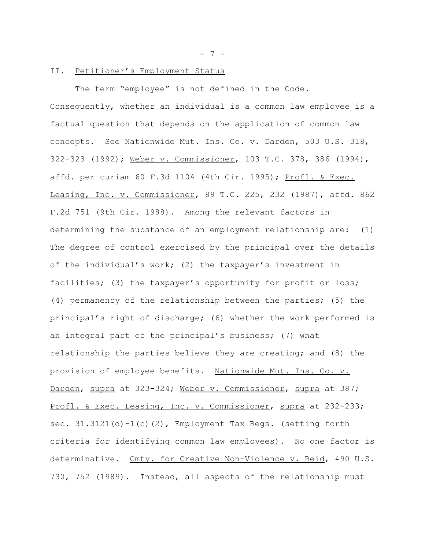- 7 -

### II. Petitioner's Employment Status

The term "employee" is not defined in the Code. Consequently, whether an individual is a common law employee is a factual question that depends on the application of common law concepts. See Nationwide Mut. Ins. Co. v. Darden, 503 U.S. 318, 322-323 (1992); Weber v. Commissioner, 103 T.C. 378, 386 (1994), affd. per curiam 60 F.3d 1104 (4th Cir. 1995); Profl. & Exec. Leasing, Inc. v. Commissioner, 89 T.C. 225, 232 (1987), affd. 862 F.2d 751 (9th Cir. 1988). Among the relevant factors in determining the substance of an employment relationship are: (1) The degree of control exercised by the principal over the details of the individual's work; (2) the taxpayer's investment in facilities; (3) the taxpayer's opportunity for profit or loss; (4) permanency of the relationship between the parties; (5) the principal's right of discharge; (6) whether the work performed is an integral part of the principal's business; (7) what relationship the parties believe they are creating; and (8) the provision of employee benefits. Nationwide Mut. Ins. Co. v. Darden, supra at 323-324; Weber v. Commissioner, supra at 387; Profl. & Exec. Leasing, Inc. v. Commissioner, supra at 232-233; sec. 31.3121(d)-1(c)(2), Employment Tax Regs. (setting forth criteria for identifying common law employees). No one factor is determinative. Cmty. for Creative Non-Violence v. Reid, 490 U.S. 730, 752 (1989). Instead, all aspects of the relationship must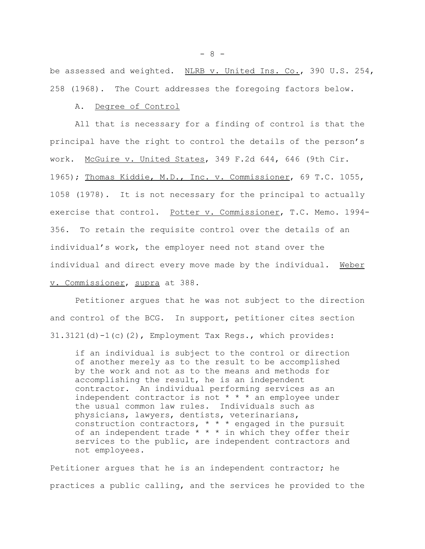be assessed and weighted. NLRB v. United Ins. Co., 390 U.S. 254, 258 (1968). The Court addresses the foregoing factors below.

#### A. Degree of Control

All that is necessary for a finding of control is that the principal have the right to control the details of the person's work. McGuire v. United States, 349 F.2d 644, 646 (9th Cir. 1965); Thomas Kiddie, M.D., Inc. v. Commissioner, 69 T.C. 1055, 1058 (1978). It is not necessary for the principal to actually exercise that control. Potter v. Commissioner, T.C. Memo. 1994-356. To retain the requisite control over the details of an individual's work, the employer need not stand over the individual and direct every move made by the individual. Weber v. Commissioner, supra at 388.

Petitioner argues that he was not subject to the direction and control of the BCG. In support, petitioner cites section 31.3121(d)-1(c)(2), Employment Tax Regs., which provides:

if an individual is subject to the control or direction of another merely as to the result to be accomplished by the work and not as to the means and methods for accomplishing the result, he is an independent contractor. An individual performing services as an independent contractor is not \* \* \* an employee under the usual common law rules. Individuals such as physicians, lawyers, dentists, veterinarians, construction contractors, \* \* \* engaged in the pursuit of an independent trade  $* * *$  in which they offer their services to the public, are independent contractors and not employees.

Petitioner argues that he is an independent contractor; he practices a public calling, and the services he provided to the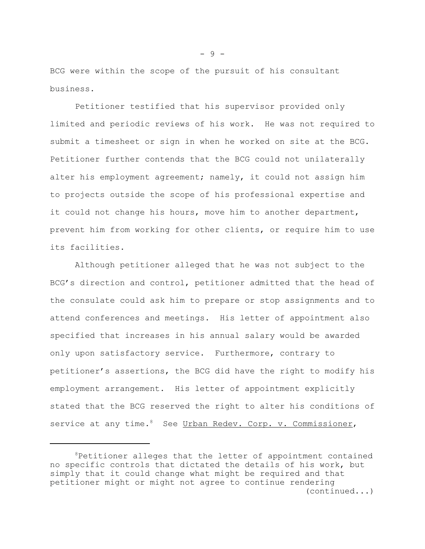BCG were within the scope of the pursuit of his consultant business.

Petitioner testified that his supervisor provided only limited and periodic reviews of his work. He was not required to submit a timesheet or sign in when he worked on site at the BCG. Petitioner further contends that the BCG could not unilaterally alter his employment agreement; namely, it could not assign him to projects outside the scope of his professional expertise and it could not change his hours, move him to another department, prevent him from working for other clients, or require him to use its facilities.

Although petitioner alleged that he was not subject to the BCG's direction and control, petitioner admitted that the head of the consulate could ask him to prepare or stop assignments and to attend conferences and meetings. His letter of appointment also specified that increases in his annual salary would be awarded only upon satisfactory service. Furthermore, contrary to petitioner's assertions, the BCG did have the right to modify his employment arrangement. His letter of appointment explicitly stated that the BCG reserved the right to alter his conditions of service at any time.<sup>8</sup> See Urban Redev. Corp. v. Commissioner,

 ${}^{8}$ Petitioner alleges that the letter of appointment contained no specific controls that dictated the details of his work, but simply that it could change what might be required and that petitioner might or might not agree to continue rendering (continued...)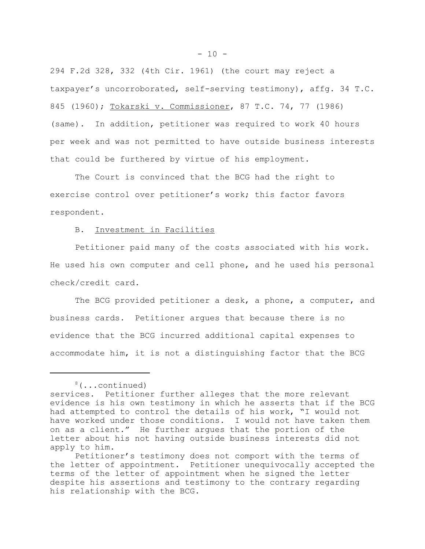294 F.2d 328, 332 (4th Cir. 1961) (the court may reject a taxpayer's uncorroborated, self-serving testimony), affg. 34 T.C. 845 (1960); Tokarski v. Commissioner, 87 T.C. 74, 77 (1986) (same). In addition, petitioner was required to work 40 hours per week and was not permitted to have outside business interests that could be furthered by virtue of his employment.

The Court is convinced that the BCG had the right to exercise control over petitioner's work; this factor favors respondent.

# B. Investment in Facilities

Petitioner paid many of the costs associated with his work. He used his own computer and cell phone, and he used his personal check/credit card.

The BCG provided petitioner a desk, a phone, a computer, and business cards. Petitioner argues that because there is no evidence that the BCG incurred additional capital expenses to accommodate him, it is not a distinguishing factor that the BCG

<sup>8(...</sup>continued)

services. Petitioner further alleges that the more relevant evidence is his own testimony in which he asserts that if the BCG had attempted to control the details of his work, "I would not have worked under those conditions. I would not have taken them on as a client." He further argues that the portion of the letter about his not having outside business interests did not apply to him.

Petitioner's testimony does not comport with the terms of the letter of appointment. Petitioner unequivocally accepted the terms of the letter of appointment when he signed the letter despite his assertions and testimony to the contrary regarding his relationship with the BCG.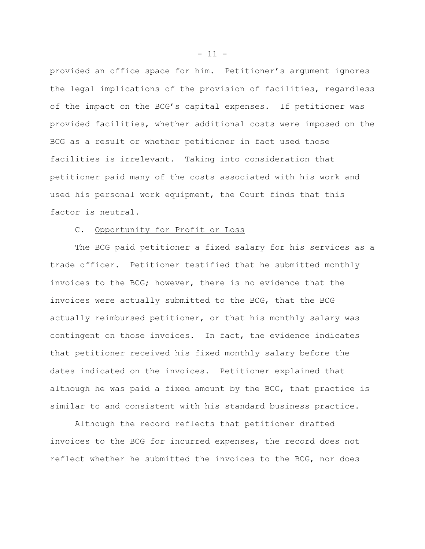provided an office space for him. Petitioner's argument ignores the legal implications of the provision of facilities, regardless of the impact on the BCG's capital expenses. If petitioner was provided facilities, whether additional costs were imposed on the BCG as a result or whether petitioner in fact used those facilities is irrelevant. Taking into consideration that petitioner paid many of the costs associated with his work and used his personal work equipment, the Court finds that this factor is neutral.

# C. Opportunity for Profit or Loss

The BCG paid petitioner a fixed salary for his services as a trade officer. Petitioner testified that he submitted monthly invoices to the BCG; however, there is no evidence that the invoices were actually submitted to the BCG, that the BCG actually reimbursed petitioner, or that his monthly salary was contingent on those invoices. In fact, the evidence indicates that petitioner received his fixed monthly salary before the dates indicated on the invoices. Petitioner explained that although he was paid a fixed amount by the BCG, that practice is similar to and consistent with his standard business practice.

Although the record reflects that petitioner drafted invoices to the BCG for incurred expenses, the record does not reflect whether he submitted the invoices to the BCG, nor does

 $- 11 -$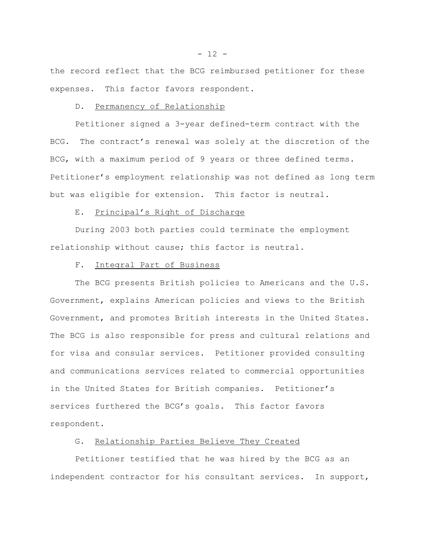the record reflect that the BCG reimbursed petitioner for these expenses. This factor favors respondent.

#### D. Permanency of Relationship

Petitioner signed a 3-year defined-term contract with the BCG. The contract's renewal was solely at the discretion of the BCG, with a maximum period of 9 years or three defined terms. Petitioner's employment relationship was not defined as long term but was eligible for extension. This factor is neutral.

# E. Principal's Right of Discharge

During 2003 both parties could terminate the employment relationship without cause; this factor is neutral.

#### F. Integral Part of Business

The BCG presents British policies to Americans and the U.S. Government, explains American policies and views to the British Government, and promotes British interests in the United States. The BCG is also responsible for press and cultural relations and for visa and consular services. Petitioner provided consulting and communications services related to commercial opportunities in the United States for British companies. Petitioner's services furthered the BCG's goals. This factor favors respondent.

# G. Relationship Parties Believe They Created

Petitioner testified that he was hired by the BCG as an independent contractor for his consultant services. In support,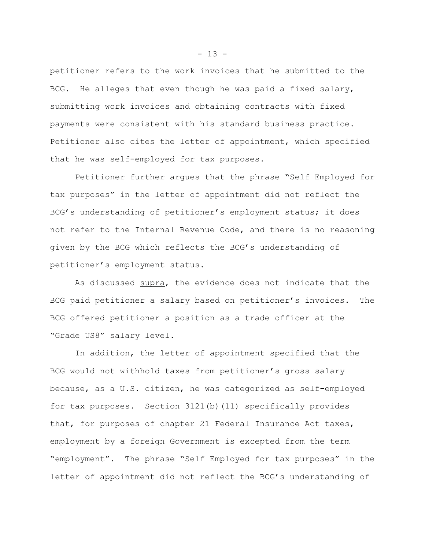petitioner refers to the work invoices that he submitted to the BCG. He alleges that even though he was paid a fixed salary, submitting work invoices and obtaining contracts with fixed payments were consistent with his standard business practice. Petitioner also cites the letter of appointment, which specified that he was self-employed for tax purposes.

Petitioner further argues that the phrase "Self Employed for tax purposes" in the letter of appointment did not reflect the BCG's understanding of petitioner's employment status; it does not refer to the Internal Revenue Code, and there is no reasoning given by the BCG which reflects the BCG's understanding of petitioner's employment status.

As discussed supra, the evidence does not indicate that the BCG paid petitioner a salary based on petitioner's invoices. The BCG offered petitioner a position as a trade officer at the "Grade US8" salary level.

In addition, the letter of appointment specified that the BCG would not withhold taxes from petitioner's gross salary because, as a U.S. citizen, he was categorized as self-employed for tax purposes. Section 3121(b)(11) specifically provides that, for purposes of chapter 21 Federal Insurance Act taxes, employment by a foreign Government is excepted from the term "employment". The phrase "Self Employed for tax purposes" in the letter of appointment did not reflect the BCG's understanding of

 $- 13 -$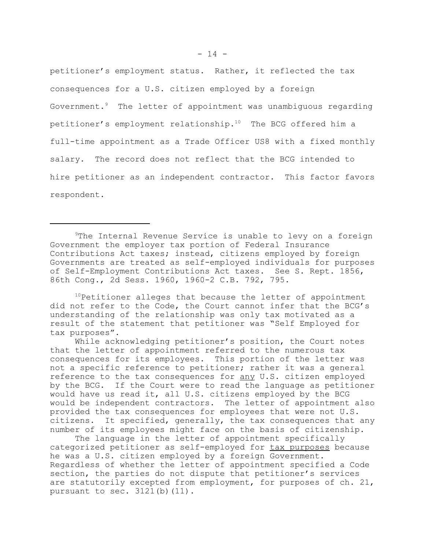petitioner's employment status. Rather, it reflected the tax consequences for a U.S. citizen employed by a foreign Government.9 The letter of appointment was unambiguous regarding petitioner's employment relationship.10 The BCG offered him a full-time appointment as a Trade Officer US8 with a fixed monthly salary. The record does not reflect that the BCG intended to hire petitioner as an independent contractor. This factor favors respondent.

<sup>9</sup>The Internal Revenue Service is unable to levy on a foreign Government the employer tax portion of Federal Insurance Contributions Act taxes; instead, citizens employed by foreign Governments are treated as self-employed individuals for purposes of Self-Employment Contributions Act taxes. See S. Rept. 1856, 86th Cong., 2d Sess. 1960, 1960-2 C.B. 792, 795.

 $10$ Petitioner alleges that because the letter of appointment did not refer to the Code, the Court cannot infer that the BCG's understanding of the relationship was only tax motivated as a result of the statement that petitioner was "Self Employed for tax purposes".

While acknowledging petitioner's position, the Court notes that the letter of appointment referred to the numerous tax consequences for its employees. This portion of the letter was not a specific reference to petitioner; rather it was a general reference to the tax consequences for any U.S. citizen employed by the BCG. If the Court were to read the language as petitioner would have us read it, all U.S. citizens employed by the BCG would be independent contractors. The letter of appointment also provided the tax consequences for employees that were not U.S. citizens. It specified, generally, the tax consequences that any number of its employees might face on the basis of citizenship.

The language in the letter of appointment specifically categorized petitioner as self-employed for tax purposes because he was a U.S. citizen employed by a foreign Government. Regardless of whether the letter of appointment specified a Code section, the parties do not dispute that petitioner's services are statutorily excepted from employment, for purposes of ch. 21, pursuant to sec.  $3121(b)(11)$ .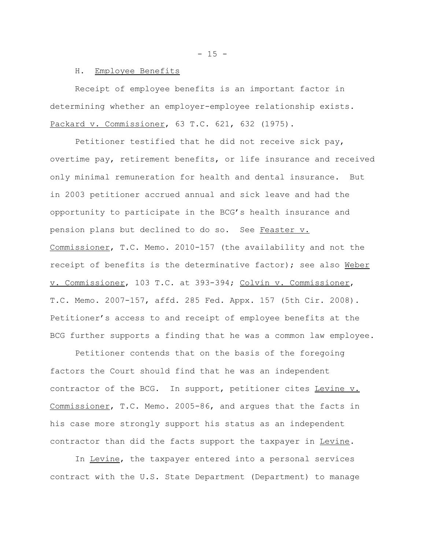#### H. Employee Benefits

Receipt of employee benefits is an important factor in determining whether an employer-employee relationship exists. Packard v. Commissioner, 63 T.C. 621, 632 (1975).

Petitioner testified that he did not receive sick pay, overtime pay, retirement benefits, or life insurance and received only minimal remuneration for health and dental insurance. But in 2003 petitioner accrued annual and sick leave and had the opportunity to participate in the BCG's health insurance and pension plans but declined to do so. See Feaster v. Commissioner, T.C. Memo. 2010-157 (the availability and not the receipt of benefits is the determinative factor); see also Weber v. Commissioner, 103 T.C. at 393-394; Colvin v. Commissioner, T.C. Memo. 2007-157, affd. 285 Fed. Appx. 157 (5th Cir. 2008). Petitioner's access to and receipt of employee benefits at the BCG further supports a finding that he was a common law employee.

Petitioner contends that on the basis of the foregoing factors the Court should find that he was an independent contractor of the BCG. In support, petitioner cites Levine v. Commissioner, T.C. Memo. 2005-86, and argues that the facts in his case more strongly support his status as an independent contractor than did the facts support the taxpayer in Levine.

In Levine, the taxpayer entered into a personal services contract with the U.S. State Department (Department) to manage

 $- 15 -$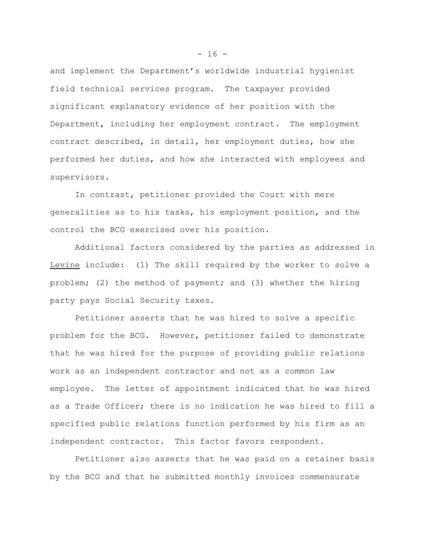and implement the Department's worldwide industrial hygienist field technical services program. The taxpayer provided significant explanatory evidence of her position with the Department, including her employment contract. The employment contract described, in detail, her employment duties, how she performed her duties, and how she interacted with employees and supervisors.

In contrast, petitioner provided the Court with mere generalities as to his tasks, his employment position, and the control the BCG exercised over his position.

Additional factors considered by the parties as addressed in Levine include: (1) The skill required by the worker to solve a problem; (2) the method of payment; and (3) whether the hiring party pays Social Security taxes.

Petitioner asserts that he was hired to solve a specific problem for the BCG. However, petitioner failed to demonstrate that he was hired for the purpose of providing public relations work as an independent contractor and not as a common law employee. The letter of appointment indicated that he was hired as a Trade Officer; there is no indication he was hired to fill a specified public relations function performed by his firm as an independent contractor. This factor favors respondent.

Petitioner also asserts that he was paid on a retainer basis by the BCG and that he submitted monthly invoices commensurate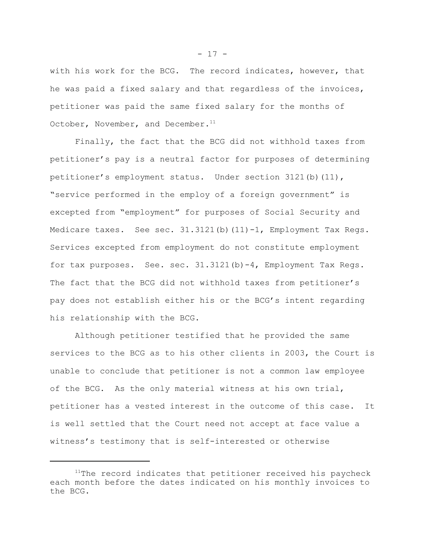with his work for the BCG. The record indicates, however, that he was paid a fixed salary and that regardless of the invoices, petitioner was paid the same fixed salary for the months of October, November, and December.<sup>11</sup>

Finally, the fact that the BCG did not withhold taxes from petitioner's pay is a neutral factor for purposes of determining petitioner's employment status. Under section 3121(b)(11), "service performed in the employ of a foreign government" is excepted from "employment" for purposes of Social Security and Medicare taxes. See sec. 31.3121(b)(11)-1, Employment Tax Regs. Services excepted from employment do not constitute employment for tax purposes. See. sec. 31.3121(b)-4, Employment Tax Regs. The fact that the BCG did not withhold taxes from petitioner's pay does not establish either his or the BCG's intent regarding his relationship with the BCG.

Although petitioner testified that he provided the same services to the BCG as to his other clients in 2003, the Court is unable to conclude that petitioner is not a common law employee of the BCG. As the only material witness at his own trial, petitioner has a vested interest in the outcome of this case. It is well settled that the Court need not accept at face value a witness's testimony that is self-interested or otherwise

 $- 17 -$ 

 $11$ The record indicates that petitioner received his paycheck each month before the dates indicated on his monthly invoices to the BCG.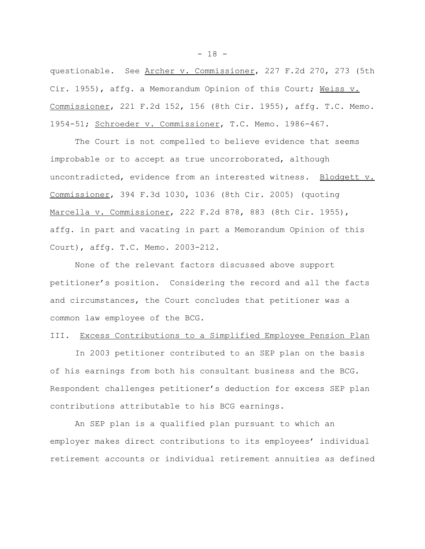questionable. See Archer v. Commissioner, 227 F.2d 270, 273 (5th Cir. 1955), affg. a Memorandum Opinion of this Court; Weiss v. Commissioner, 221 F.2d 152, 156 (8th Cir. 1955), affg. T.C. Memo. 1954-51; Schroeder v. Commissioner, T.C. Memo. 1986-467.

The Court is not compelled to believe evidence that seems improbable or to accept as true uncorroborated, although uncontradicted, evidence from an interested witness. Blodgett v. Commissioner, 394 F.3d 1030, 1036 (8th Cir. 2005) (quoting Marcella v. Commissioner, 222 F.2d 878, 883 (8th Cir. 1955), affg. in part and vacating in part a Memorandum Opinion of this Court), affg. T.C. Memo. 2003-212.

None of the relevant factors discussed above support petitioner's position. Considering the record and all the facts and circumstances, the Court concludes that petitioner was a common law employee of the BCG.

# III. Excess Contributions to a Simplified Employee Pension Plan

In 2003 petitioner contributed to an SEP plan on the basis of his earnings from both his consultant business and the BCG. Respondent challenges petitioner's deduction for excess SEP plan contributions attributable to his BCG earnings.

An SEP plan is a qualified plan pursuant to which an employer makes direct contributions to its employees' individual retirement accounts or individual retirement annuities as defined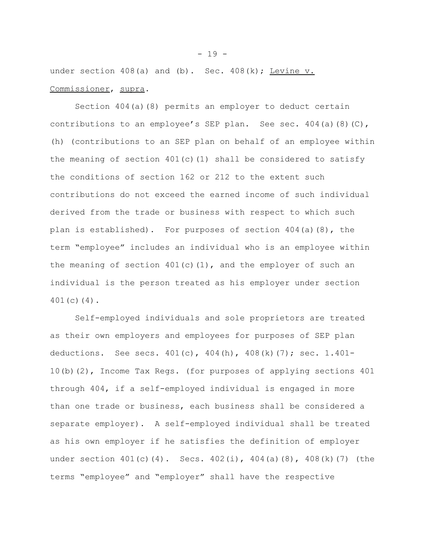under section  $408(a)$  and (b). Sec.  $408(k)$ ; Levine v. Commissioner, supra.

Section 404(a)(8) permits an employer to deduct certain contributions to an employee's SEP plan. See sec. 404(a)(8)(C), (h) (contributions to an SEP plan on behalf of an employee within the meaning of section  $401(c)(1)$  shall be considered to satisfy the conditions of section 162 or 212 to the extent such contributions do not exceed the earned income of such individual derived from the trade or business with respect to which such plan is established). For purposes of section 404(a)(8), the term "employee" includes an individual who is an employee within the meaning of section  $401(c)(1)$ , and the employer of such an individual is the person treated as his employer under section 401(c)(4).

Self-employed individuals and sole proprietors are treated as their own employers and employees for purposes of SEP plan deductions. See secs. 401(c), 404(h), 408(k)(7); sec. 1.401- 10(b)(2), Income Tax Regs. (for purposes of applying sections 401 through 404, if a self-employed individual is engaged in more than one trade or business, each business shall be considered a separate employer). A self-employed individual shall be treated as his own employer if he satisfies the definition of employer under section 401(c)(4). Secs. 402(i), 404(a)(8), 408(k)(7) (the terms "employee" and "employer" shall have the respective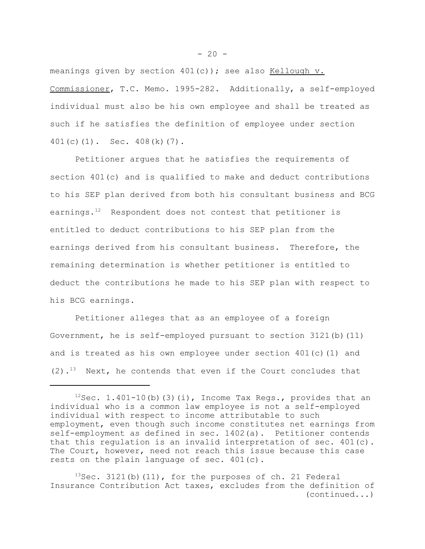meanings given by section  $401(c)$ ); see also Kellough v. Commissioner, T.C. Memo. 1995-282. Additionally, a self-employed individual must also be his own employee and shall be treated as such if he satisfies the definition of employee under section 401(c)(1). Sec. 408(k)(7).

Petitioner argues that he satisfies the requirements of section 401(c) and is qualified to make and deduct contributions to his SEP plan derived from both his consultant business and BCG earnings.<sup>12</sup> Respondent does not contest that petitioner is entitled to deduct contributions to his SEP plan from the earnings derived from his consultant business. Therefore, the remaining determination is whether petitioner is entitled to deduct the contributions he made to his SEP plan with respect to his BCG earnings.

Petitioner alleges that as an employee of a foreign Government, he is self-employed pursuant to section 3121(b)(11) and is treated as his own employee under section  $401(c)(1)$  and  $(2)$ .<sup>13</sup> Next, he contends that even if the Court concludes that

 $12$ Sec. 1.401-10(b)(3)(i), Income Tax Regs., provides that an individual who is a common law employee is not a self-employed individual with respect to income attributable to such employment, even though such income constitutes net earnings from self-employment as defined in sec. 1402(a). Petitioner contends that this regulation is an invalid interpretation of sec. 401(c). The Court, however, need not reach this issue because this case rests on the plain language of sec. 401(c).

 $13$ Sec. 3121(b)(11), for the purposes of ch. 21 Federal Insurance Contribution Act taxes, excludes from the definition of (continued...)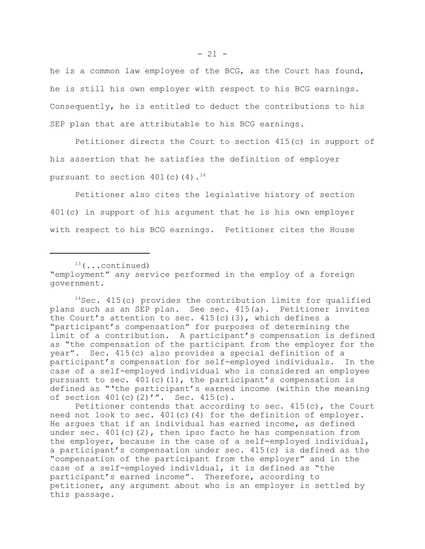he is a common law employee of the BCG, as the Court has found, he is still his own employer with respect to his BCG earnings. Consequently, he is entitled to deduct the contributions to his SEP plan that are attributable to his BCG earnings.

Petitioner directs the Court to section 415(c) in support of his assertion that he satisfies the definition of employer pursuant to section  $401(c)(4)$ .<sup>14</sup>

Petitioner also cites the legislative history of section 401(c) in support of his argument that he is his own employer with respect to his BCG earnings. Petitioner cites the House

 $13$  (...continued) "employment" any service performed in the employ of a foreign government.

 $14$ Sec. 415(c) provides the contribution limits for qualified plans such as an SEP plan. See sec. 415(a). Petitioner invites the Court's attention to sec.  $415(c)(3)$ , which defines a "participant's compensation" for purposes of determining the limit of a contribution. A participant's compensation is defined as "the compensation of the participant from the employer for the year". Sec. 415(c) also provides a special definition of a participant's compensation for self-employed individuals. In the case of a self-employed individual who is considered an employee pursuant to sec.  $401(c)(1)$ , the participant's compensation is defined as "'the participant's earned income (within the meaning of section 401(c)(2)'". Sec. 415(c).

Petitioner contends that according to sec. 415(c), the Court need not look to sec.  $401(c)(4)$  for the definition of employer. He argues that if an individual has earned income, as defined under sec.  $401(c)(2)$ , then ipso facto he has compensation from the employer, because in the case of a self-employed individual, a participant's compensation under sec. 415(c) is defined as the "compensation of the participant from the employer" and in the case of a self-employed individual, it is defined as "the participant's earned income". Therefore, according to petitioner, any argument about who is an employer is settled by this passage.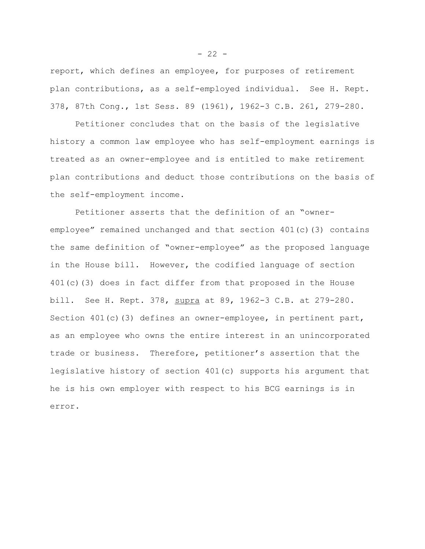report, which defines an employee, for purposes of retirement plan contributions, as a self-employed individual. See H. Rept. 378, 87th Cong., 1st Sess. 89 (1961), 1962-3 C.B. 261, 279-280.

Petitioner concludes that on the basis of the legislative history a common law employee who has self-employment earnings is treated as an owner-employee and is entitled to make retirement plan contributions and deduct those contributions on the basis of the self-employment income.

Petitioner asserts that the definition of an "owneremployee" remained unchanged and that section 401(c)(3) contains the same definition of "owner-employee" as the proposed language in the House bill. However, the codified language of section 401(c)(3) does in fact differ from that proposed in the House bill. See H. Rept. 378, supra at 89, 1962-3 C.B. at 279-280. Section 401(c)(3) defines an owner-employee, in pertinent part, as an employee who owns the entire interest in an unincorporated trade or business. Therefore, petitioner's assertion that the legislative history of section 401(c) supports his argument that he is his own employer with respect to his BCG earnings is in error.

 $- 22 -$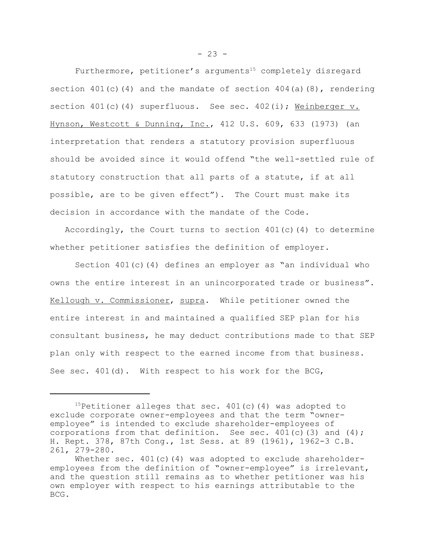Furthermore, petitioner's arguments<sup>15</sup> completely disregard section  $401(c)(4)$  and the mandate of section  $404(a)(8)$ , rendering section 401(c)(4) superfluous. See sec. 402(i); Weinberger v. Hynson, Westcott & Dunning, Inc., 412 U.S. 609, 633 (1973) (an interpretation that renders a statutory provision superfluous should be avoided since it would offend "the well-settled rule of statutory construction that all parts of a statute, if at all possible, are to be given effect"). The Court must make its decision in accordance with the mandate of the Code.

Accordingly, the Court turns to section  $401(c)$  (4) to determine whether petitioner satisfies the definition of employer.

Section  $401(c)(4)$  defines an employer as "an individual who owns the entire interest in an unincorporated trade or business". Kellough v. Commissioner, supra. While petitioner owned the entire interest in and maintained a qualified SEP plan for his consultant business, he may deduct contributions made to that SEP plan only with respect to the earned income from that business. See sec.  $401(d)$ . With respect to his work for the BCG,

<sup>&</sup>lt;sup>15</sup>Petitioner alleges that sec.  $401(c)$  (4) was adopted to exclude corporate owner-employees and that the term "owneremployee" is intended to exclude shareholder-employees of corporations from that definition. See sec.  $401(c)$  (3) and (4); H. Rept. 378, 87th Cong., 1st Sess. at 89 (1961), 1962-3 C.B. 261, 279-280.

Whether sec.  $401(c)(4)$  was adopted to exclude shareholderemployees from the definition of "owner-employee" is irrelevant, and the question still remains as to whether petitioner was his own employer with respect to his earnings attributable to the BCG.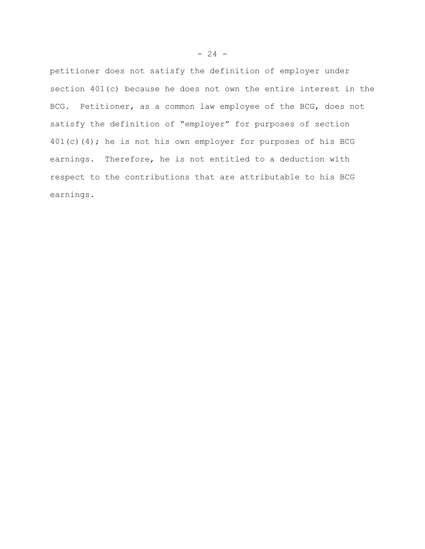petitioner does not satisfy the definition of employer under section 401(c) because he does not own the entire interest in the BCG. Petitioner, as a common law employee of the BCG, does not satisfy the definition of "employer" for purposes of section 401(c)(4); he is not his own employer for purposes of his BCG earnings. Therefore, he is not entitled to a deduction with respect to the contributions that are attributable to his BCG earnings.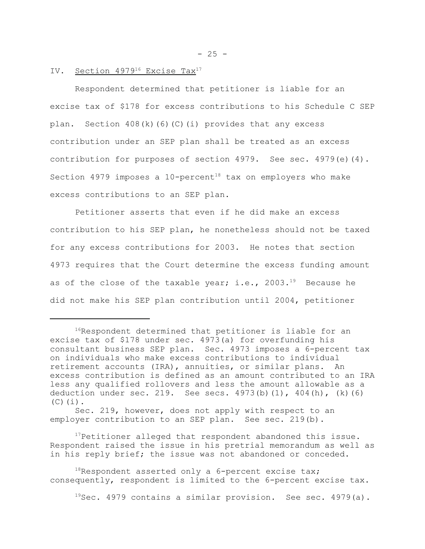# IV. Section 4979<sup>16</sup> Excise Tax<sup>17</sup>

Respondent determined that petitioner is liable for an excise tax of \$178 for excess contributions to his Schedule C SEP plan. Section 408(k)(6)(C)(i) provides that any excess contribution under an SEP plan shall be treated as an excess contribution for purposes of section  $4979$ . See sec.  $4979$ (e)(4). Section 4979 imposes a  $10$ -percent<sup>18</sup> tax on employers who make excess contributions to an SEP plan.

Petitioner asserts that even if he did make an excess contribution to his SEP plan, he nonetheless should not be taxed for any excess contributions for 2003. He notes that section 4973 requires that the Court determine the excess funding amount as of the close of the taxable year; i.e., 2003.<sup>19</sup> Because he did not make his SEP plan contribution until 2004, petitioner

 $17$ Petitioner alleged that respondent abandoned this issue. Respondent raised the issue in his pretrial memorandum as well as in his reply brief; the issue was not abandoned or conceded.

 $19$ Sec. 4979 contains a similar provision. See sec. 4979(a).

 $- 25 -$ 

<sup>&</sup>lt;sup>16</sup>Respondent determined that petitioner is liable for an excise tax of \$178 under sec. 4973(a) for overfunding his consultant business SEP plan. Sec. 4973 imposes a 6-percent tax on individuals who make excess contributions to individual retirement accounts (IRA), annuities, or similar plans. An excess contribution is defined as an amount contributed to an IRA less any qualified rollovers and less the amount allowable as a deduction under sec. 219. See secs.  $4973(b)(1)$ ,  $404(h)$ ,  $(k)(6)$  $(C)$  $(i)$ .

Sec. 219, however, does not apply with respect to an employer contribution to an SEP plan. See sec. 219(b).

 $18$ Respondent asserted only a 6-percent excise tax; consequently, respondent is limited to the 6-percent excise tax.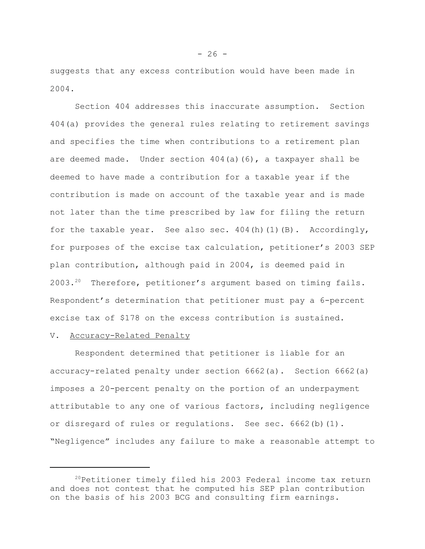suggests that any excess contribution would have been made in 2004.

Section 404 addresses this inaccurate assumption. Section 404(a) provides the general rules relating to retirement savings and specifies the time when contributions to a retirement plan are deemed made. Under section 404(a)(6), a taxpayer shall be deemed to have made a contribution for a taxable year if the contribution is made on account of the taxable year and is made not later than the time prescribed by law for filing the return for the taxable year. See also sec.  $404(h)(1)(B)$ . Accordingly, for purposes of the excise tax calculation, petitioner's 2003 SEP plan contribution, although paid in 2004, is deemed paid in 2003.<sup>20</sup> Therefore, petitioner's argument based on timing fails. Respondent's determination that petitioner must pay a 6-percent excise tax of \$178 on the excess contribution is sustained.

### V. Accuracy-Related Penalty

Respondent determined that petitioner is liable for an accuracy-related penalty under section 6662(a). Section 6662(a) imposes a 20-percent penalty on the portion of an underpayment attributable to any one of various factors, including negligence or disregard of rules or regulations. See sec. 6662(b)(1). "Negligence" includes any failure to make a reasonable attempt to

<sup>&</sup>lt;sup>20</sup>Petitioner timely filed his 2003 Federal income tax return and does not contest that he computed his SEP plan contribution on the basis of his 2003 BCG and consulting firm earnings.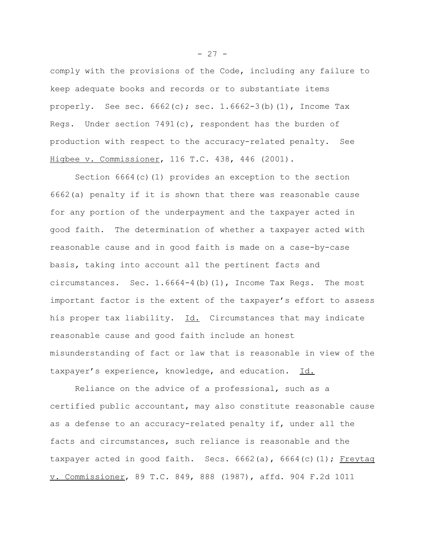comply with the provisions of the Code, including any failure to keep adequate books and records or to substantiate items properly. See sec.  $6662(c)$ ; sec.  $1.6662-3(b)(1)$ , Income Tax Regs. Under section  $7491(c)$ , respondent has the burden of production with respect to the accuracy-related penalty. See Higbee v. Commissioner, 116 T.C. 438, 446 (2001).

Section 6664(c)(1) provides an exception to the section 6662(a) penalty if it is shown that there was reasonable cause for any portion of the underpayment and the taxpayer acted in good faith. The determination of whether a taxpayer acted with reasonable cause and in good faith is made on a case-by-case basis, taking into account all the pertinent facts and circumstances. Sec. 1.6664-4(b)(1), Income Tax Regs. The most important factor is the extent of the taxpayer's effort to assess his proper tax liability. Id. Circumstances that may indicate reasonable cause and good faith include an honest misunderstanding of fact or law that is reasonable in view of the taxpayer's experience, knowledge, and education. Id.

Reliance on the advice of a professional, such as a certified public accountant, may also constitute reasonable cause as a defense to an accuracy-related penalty if, under all the facts and circumstances, such reliance is reasonable and the taxpayer acted in good faith. Secs.  $6662(a)$ ,  $6664(c)(1)$ ; Freytag v. Commissioner, 89 T.C. 849, 888 (1987), affd. 904 F.2d 1011

 $- 27 -$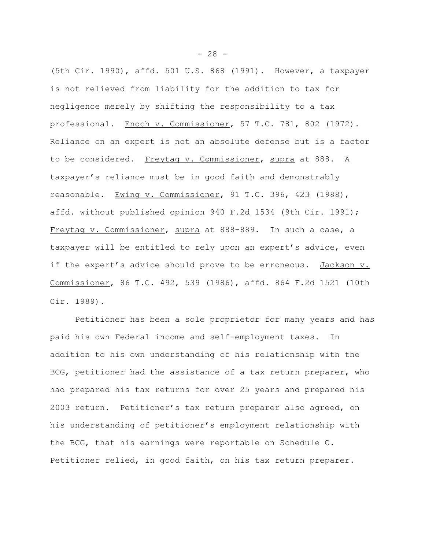(5th Cir. 1990), affd. 501 U.S. 868 (1991). However, a taxpayer is not relieved from liability for the addition to tax for negligence merely by shifting the responsibility to a tax professional. Enoch v. Commissioner, 57 T.C. 781, 802 (1972). Reliance on an expert is not an absolute defense but is a factor to be considered. Freytag v. Commissioner, supra at 888. A taxpayer's reliance must be in good faith and demonstrably reasonable. Ewing v. Commissioner, 91 T.C. 396, 423 (1988), affd. without published opinion 940 F.2d 1534 (9th Cir. 1991); Freytag v. Commissioner, supra at 888-889. In such a case, a taxpayer will be entitled to rely upon an expert's advice, even if the expert's advice should prove to be erroneous. Jackson v. Commissioner, 86 T.C. 492, 539 (1986), affd. 864 F.2d 1521 (10th Cir. 1989).

Petitioner has been a sole proprietor for many years and has paid his own Federal income and self-employment taxes. In addition to his own understanding of his relationship with the BCG, petitioner had the assistance of a tax return preparer, who had prepared his tax returns for over 25 years and prepared his 2003 return. Petitioner's tax return preparer also agreed, on his understanding of petitioner's employment relationship with the BCG, that his earnings were reportable on Schedule C. Petitioner relied, in good faith, on his tax return preparer.

 $- 28 -$